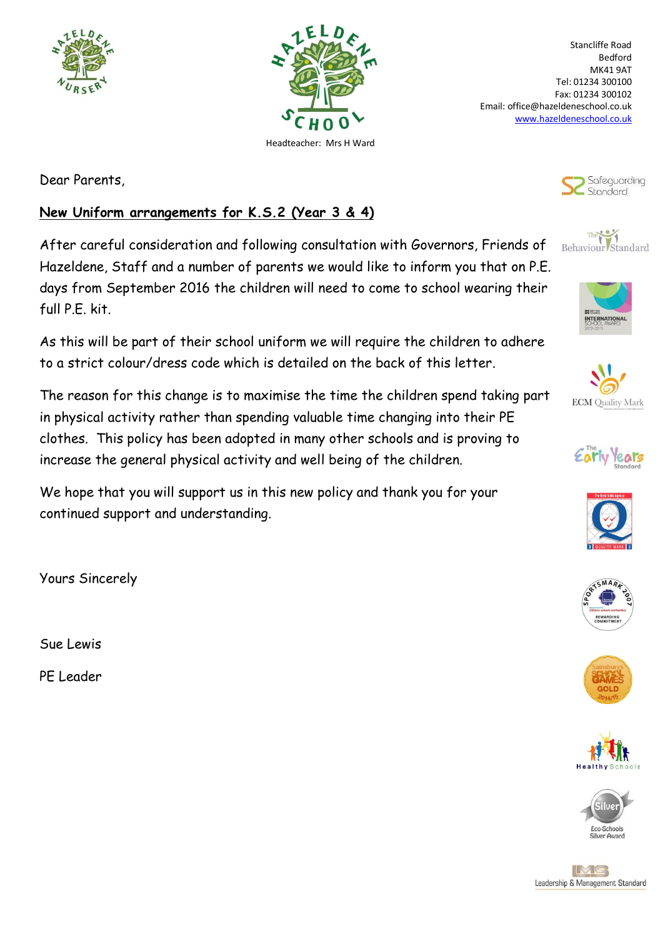



Stancliffe Road Bedford MK41 9AT Tel: 01234 300100 Fax: 01234 300102 Email: office@hazeldeneschool.co.uk [www.hazeldeneschool.co.uk](http://www.hazeldeneschool.co.uk/)

Dear Parents,

## **New Uniform arrangements for K.S.2 (Year 3 & 4)**

After careful consideration and following consultation with Governors, Friends of Hazeldene, Staff and a number of parents we would like to inform you that on P.E. days from September 2016 the children will need to come to school wearing their full P.E. kit.

As this will be part of their school uniform we will require the children to adhere to a strict colour/dress code which is detailed on the back of this letter.

The reason for this change is to maximise the time the children spend taking part in physical activity rather than spending valuable time changing into their PE clothes. This policy has been adopted in many other schools and is proving to increase the general physical activity and well being of the children.

We hope that you will support us in this new policy and thank you for your continued support and understanding.

Yours Sincerely

Sue Lewis

PE Leader